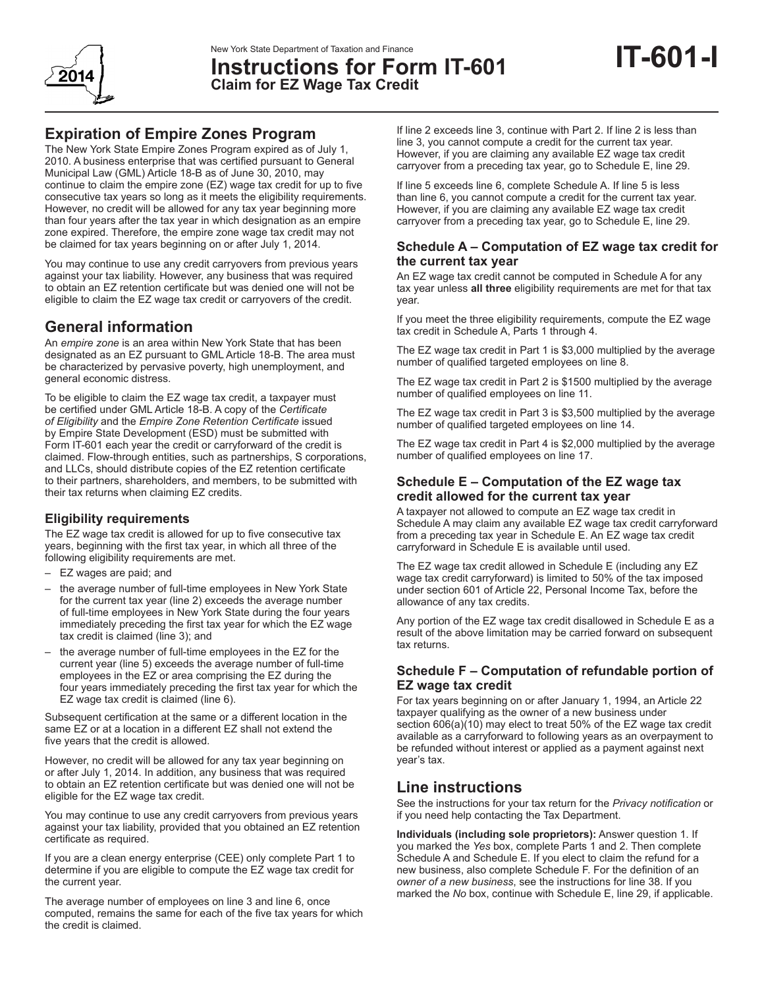

**Instructions for Form IT-601 Claim for EZ Wage Tax Credit**

The New York State Empire Zones Program expired as of July 1, 2010. A business enterprise that was certified pursuant to General Municipal Law (GML) Article 18-B as of June 30, 2010, may continue to claim the empire zone (EZ) wage tax credit for up to five consecutive tax years so long as it meets the eligibility requirements. However, no credit will be allowed for any tax year beginning more than four years after the tax year in which designation as an empire zone expired. Therefore, the empire zone wage tax credit may not be claimed for tax years beginning on or after July 1, 2014.

You may continue to use any credit carryovers from previous years against your tax liability. However, any business that was required to obtain an EZ retention certificate but was denied one will not be eligible to claim the EZ wage tax credit or carryovers of the credit.

# **General information**

An *empire zone* is an area within New York State that has been designated as an EZ pursuant to GML Article 18-B. The area must be characterized by pervasive poverty, high unemployment, and general economic distress.

To be eligible to claim the EZ wage tax credit, a taxpayer must be certified under GML Article 18-B. A copy of the *Certificate of Eligibility* and the *Empire Zone Retention Certificate* issued by Empire State Development (ESD) must be submitted with Form IT‑601 each year the credit or carryforward of the credit is claimed. Flow-through entities, such as partnerships, S corporations, and LLCs, should distribute copies of the EZ retention certificate to their partners, shareholders, and members, to be submitted with their tax returns when claiming EZ credits.

# **Eligibility requirements**

The EZ wage tax credit is allowed for up to five consecutive tax years, beginning with the first tax year, in which all three of the following eligibility requirements are met.

- EZ wages are paid; and
- the average number of full-time employees in New York State for the current tax year (line 2) exceeds the average number of full-time employees in New York State during the four years immediately preceding the first tax year for which the EZ wage tax credit is claimed (line 3); and
- the average number of full-time employees in the EZ for the current year (line 5) exceeds the average number of full-time employees in the EZ or area comprising the EZ during the four years immediately preceding the first tax year for which the EZ wage tax credit is claimed (line 6).

Subsequent certification at the same or a different location in the same EZ or at a location in a different EZ shall not extend the five years that the credit is allowed.

However, no credit will be allowed for any tax year beginning on or after July 1, 2014. In addition, any business that was required to obtain an EZ retention certificate but was denied one will not be eligible for the EZ wage tax credit.

You may continue to use any credit carryovers from previous years against your tax liability, provided that you obtained an EZ retention certificate as required.

If you are a clean energy enterprise (CEE) only complete Part 1 to determine if you are eligible to compute the EZ wage tax credit for the current year.

The average number of employees on line 3 and line 6, once computed, remains the same for each of the five tax years for which the credit is claimed.

If line 2 exceeds line 3, continue with Part 2. If line 2 is less than line 3, you cannot compute a credit for the current tax year. However, if you are claiming any available EZ wage tax credit carryover from a preceding tax year, go to Schedule E, line 29.

If line 5 exceeds line 6, complete Schedule A. If line 5 is less than line 6, you cannot compute a credit for the current tax year. However, if you are claiming any available EZ wage tax credit carryover from a preceding tax year, go to Schedule E, line 29.

## **Schedule A – Computation of EZ wage tax credit for the current tax year**

An EZ wage tax credit cannot be computed in Schedule A for any tax year unless **all three** eligibility requirements are met for that tax year.

If you meet the three eligibility requirements, compute the EZ wage tax credit in Schedule A, Parts 1 through 4.

The EZ wage tax credit in Part 1 is \$3,000 multiplied by the average number of qualified targeted employees on line 8.

The EZ wage tax credit in Part 2 is \$1500 multiplied by the average number of qualified employees on line 11.

The EZ wage tax credit in Part 3 is \$3,500 multiplied by the average number of qualified targeted employees on line 14.

The EZ wage tax credit in Part 4 is \$2,000 multiplied by the average number of qualified employees on line 17.

## **Schedule E – Computation of the EZ wage tax credit allowed for the current tax year**

A taxpayer not allowed to compute an EZ wage tax credit in Schedule A may claim any available EZ wage tax credit carryforward from a preceding tax year in Schedule E. An EZ wage tax credit carryforward in Schedule E is available until used.

The EZ wage tax credit allowed in Schedule E (including any EZ wage tax credit carryforward) is limited to 50% of the tax imposed under section 601 of Article 22, Personal Income Tax, before the allowance of any tax credits.

Any portion of the EZ wage tax credit disallowed in Schedule E as a result of the above limitation may be carried forward on subsequent tax returns.

# **Schedule F – Computation of refundable portion of EZ wage tax credit**

For tax years beginning on or after January 1, 1994, an Article 22 taxpayer qualifying as the owner of a new business under section 606(a)(10) may elect to treat 50% of the EZ wage tax credit available as a carryforward to following years as an overpayment to be refunded without interest or applied as a payment against next year's tax.

# **Line instructions**

See the instructions for your tax return for the *Privacy notification* or if you need help contacting the Tax Department.

**Individuals (including sole proprietors):** Answer question 1. If you marked the *Yes* box, complete Parts 1 and 2. Then complete Schedule A and Schedule E. If you elect to claim the refund for a new business, also complete Schedule F. For the definition of an *owner of a new business*, see the instructions for line 38. If you marked the *No* box, continue with Schedule E, line 29, if applicable.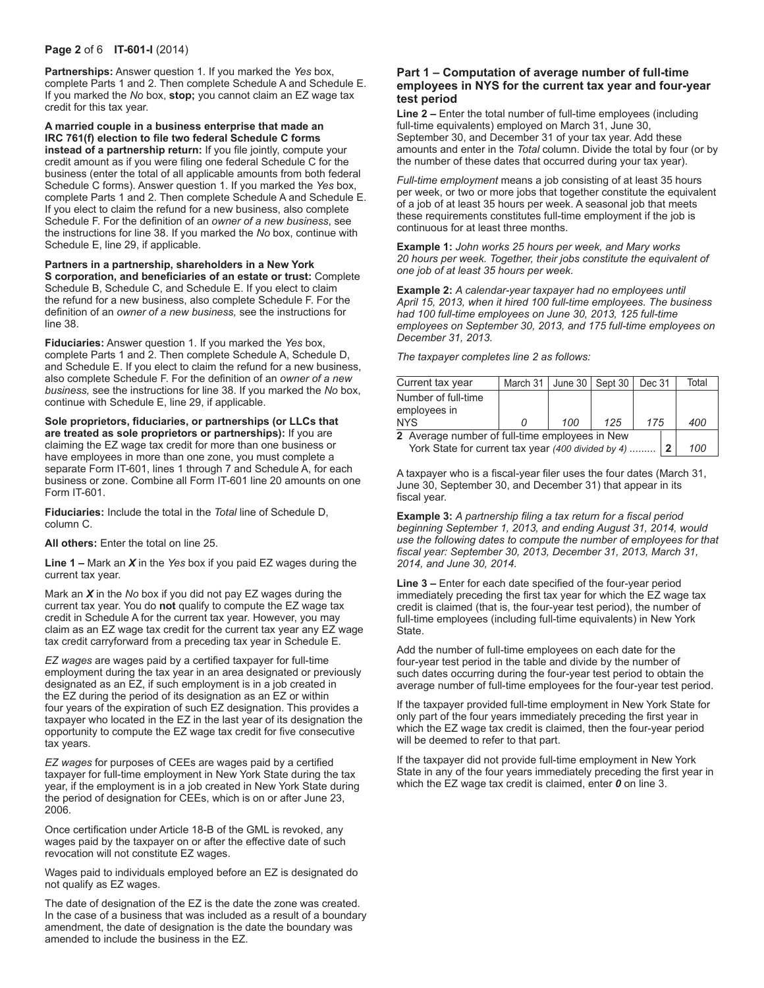#### **Page 2** of 6 **IT-601-I** (2014)

**Partnerships:** Answer question 1. If you marked the *Yes* box, complete Parts 1 and 2. Then complete Schedule A and Schedule E. If you marked the *No* box, **stop;** you cannot claim an EZ wage tax credit for this tax year.

**A married couple in a business enterprise that made an IRC 761(f) election to file two federal Schedule C forms instead of a partnership return:** If you file jointly, compute your credit amount as if you were filing one federal Schedule C for the business (enter the total of all applicable amounts from both federal Schedule C forms). Answer question 1. If you marked the *Yes* box, complete Parts 1 and 2. Then complete Schedule A and Schedule E. If you elect to claim the refund for a new business, also complete Schedule F. For the definition of an *owner of a new business*, see the instructions for line 38. If you marked the *No* box, continue with Schedule E, line 29, if applicable.

**Partners in a partnership, shareholders in a New York S corporation, and beneficiaries of an estate or trust:** Complete Schedule B, Schedule C, and Schedule E. If you elect to claim the refund for a new business, also complete Schedule F. For the definition of an *owner of a new business,* see the instructions for line 38.

**Fiduciaries:** Answer question 1. If you marked the *Yes* box, complete Parts 1 and 2. Then complete Schedule A, Schedule D, and Schedule E. If you elect to claim the refund for a new business, also complete Schedule F. For the definition of an *owner of a new business,* see the instructions for line 38. If you marked the *No* box, continue with Schedule E, line 29, if applicable.

**Sole proprietors, fiduciaries, or partnerships (or LLCs that are treated as sole proprietors or partnerships):** If you are claiming the EZ wage tax credit for more than one business or have employees in more than one zone, you must complete a separate Form IT-601, lines 1 through 7 and Schedule A, for each business or zone. Combine all Form IT-601 line 20 amounts on one Form IT-601.

**Fiduciaries:** Include the total in the *Total* line of Schedule D, column C.

**All others:** Enter the total on line 25.

**Line 1 –** Mark an *X* in the *Yes* box if you paid EZ wages during the current tax year.

Mark an *X* in the *No* box if you did not pay EZ wages during the current tax year. You do **not** qualify to compute the EZ wage tax credit in Schedule A for the current tax year. However, you may claim as an EZ wage tax credit for the current tax year any EZ wage tax credit carryforward from a preceding tax year in Schedule E.

*EZ wages* are wages paid by a certified taxpayer for full-time employment during the tax year in an area designated or previously designated as an EZ, if such employment is in a job created in the EZ during the period of its designation as an EZ or within four years of the expiration of such EZ designation. This provides a taxpayer who located in the EZ in the last year of its designation the opportunity to compute the EZ wage tax credit for five consecutive tax years.

*EZ wages* for purposes of CEEs are wages paid by a certified taxpayer for full-time employment in New York State during the tax year, if the employment is in a job created in New York State during the period of designation for CEEs, which is on or after June 23, 2006.

Once certification under Article 18-B of the GML is revoked, any wages paid by the taxpayer on or after the effective date of such revocation will not constitute EZ wages.

Wages paid to individuals employed before an EZ is designated do not qualify as EZ wages.

The date of designation of the EZ is the date the zone was created. In the case of a business that was included as a result of a boundary amendment, the date of designation is the date the boundary was amended to include the business in the EZ.

#### **Part 1 – Computation of average number of full-time employees in NYS for the current tax year and four-year test period**

**Line 2 –** Enter the total number of full-time employees (including full-time equivalents) employed on March 31, June 30, September 30, and December 31 of your tax year. Add these amounts and enter in the *Total* column. Divide the total by four (or by the number of these dates that occurred during your tax year).

*Full-time employment* means a job consisting of at least 35 hours per week, or two or more jobs that together constitute the equivalent of a job of at least 35 hours per week. A seasonal job that meets these requirements constitutes full-time employment if the job is continuous for at least three months.

**Example 1:** *John works 25 hours per week, and Mary works 20 hours per week. Together, their jobs constitute the equivalent of one job of at least 35 hours per week.*

**Example 2:** *A calendar-year taxpayer had no employees until April 15, 2013, when it hired 100 full-time employees. The business had 100 full-time employees on June 30, 2013, 125 full-time employees on September 30, 2013, and 175 full-time employees on December 31, 2013.*

*The taxpayer completes line 2 as follows:*

| Current tax year                                   | March 31 | June $30$ Sept $30$ |     | Dec 31 |  | Total |
|----------------------------------------------------|----------|---------------------|-----|--------|--|-------|
| Number of full-time<br>employees in                |          |                     |     |        |  |       |
| <b>NYS</b>                                         |          | 100                 | 125 | 175    |  | 400   |
| 2 Average number of full-time employees in New     |          |                     |     |        |  |       |
| York State for current tax year (400 divided by 4) |          |                     |     |        |  | 100   |

A taxpayer who is a fiscal-year filer uses the four dates (March 31, June 30, September 30, and December 31) that appear in its fiscal year.

**Example 3:** *A partnership filing a tax return for a fiscal period beginning September 1, 2013, and ending August 31, 2014, would use the following dates to compute the number of employees for that fiscal year: September 30, 2013, December 31, 2013, March 31, 2014, and June 30, 2014.*

**Line 3 –** Enter for each date specified of the four-year period immediately preceding the first tax year for which the EZ wage tax credit is claimed (that is, the four-year test period), the number of full-time employees (including full-time equivalents) in New York State.

Add the number of full-time employees on each date for the four-year test period in the table and divide by the number of such dates occurring during the four-year test period to obtain the average number of full-time employees for the four-year test period.

If the taxpayer provided full-time employment in New York State for only part of the four years immediately preceding the first year in which the EZ wage tax credit is claimed, then the four-year period will be deemed to refer to that part.

If the taxpayer did not provide full-time employment in New York State in any of the four years immediately preceding the first year in which the EZ wage tax credit is claimed, enter *0* on line 3.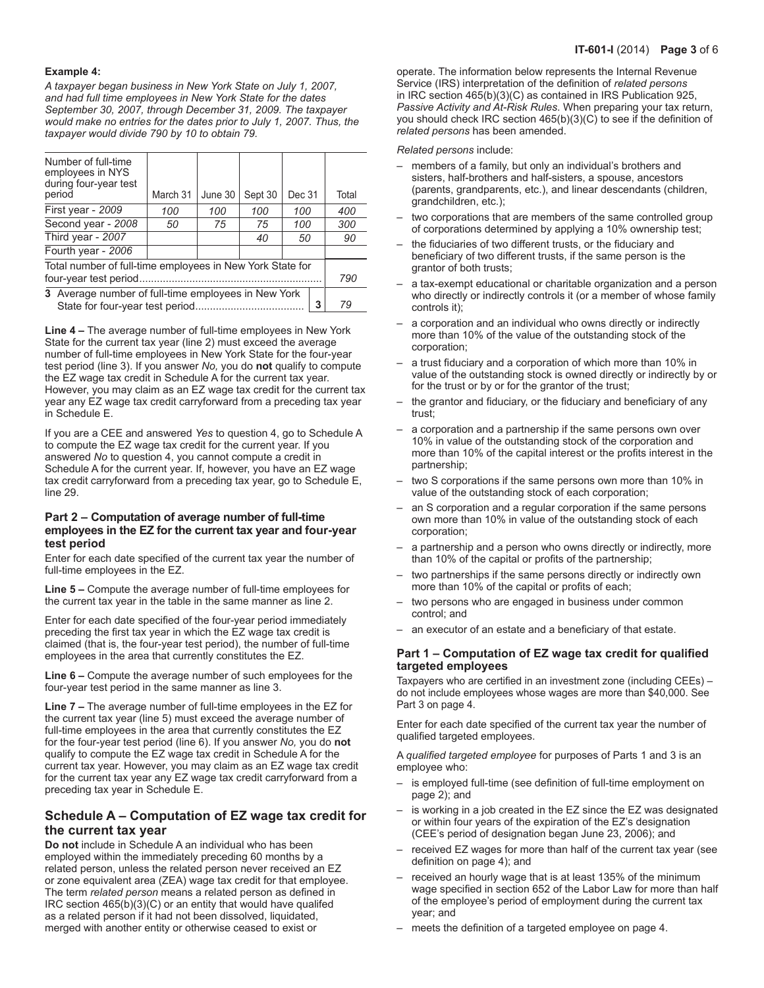#### **Example 4:**

*A taxpayer began business in New York State on July 1, 2007, and had full time employees in New York State for the dates September 30, 2007, through December 31, 2009. The taxpayer would make no entries for the dates prior to July 1, 2007. Thus, the taxpayer would divide 790 by 10 to obtain 79.*

| Number of full-time<br>employees in NYS<br>during four-year test<br>period | March 31 | June 30 | Sept 30 | Dec 31 |  | Total |  |  |
|----------------------------------------------------------------------------|----------|---------|---------|--------|--|-------|--|--|
| First year - 2009                                                          | 100      | 100     | 100     | 100    |  | 400   |  |  |
| Second year - 2008                                                         | 50       | 75      | 75      | 100    |  | 300   |  |  |
| Third year - 2007                                                          |          |         | 40      | 50     |  | 90    |  |  |
| Fourth year - 2006                                                         |          |         |         |        |  |       |  |  |
| Total number of full-time employees in New York State for                  |          |         |         |        |  |       |  |  |
| four-year test period.                                                     |          |         |         |        |  |       |  |  |
| 3 Average number of full-time employees in New York                        |          |         |         |        |  |       |  |  |
| 3<br>State for four-year test period.                                      |          |         |         |        |  |       |  |  |

**Line 4 –** The average number of full-time employees in New York State for the current tax year (line 2) must exceed the average number of full-time employees in New York State for the four-year test period (line 3). If you answer *No,* you do **not** qualify to compute the EZ wage tax credit in Schedule A for the current tax year. However, you may claim as an EZ wage tax credit for the current tax year any EZ wage tax credit carryforward from a preceding tax year in Schedule E.

If you are a CEE and answered *Yes* to question 4, go to Schedule A to compute the EZ wage tax credit for the current year. If you answered *No* to question 4, you cannot compute a credit in Schedule A for the current year. If, however, you have an EZ wage tax credit carryforward from a preceding tax year, go to Schedule E, line 29.

#### **Part 2 – Computation of average number of full-time employees in the EZ for the current tax year and four-year test period**

Enter for each date specified of the current tax year the number of full-time employees in the EZ.

**Line 5 –** Compute the average number of full-time employees for the current tax year in the table in the same manner as line 2.

Enter for each date specified of the four-year period immediately preceding the first tax year in which the EZ wage tax credit is claimed (that is, the four-year test period), the number of full-time employees in the area that currently constitutes the EZ.

**Line 6 –** Compute the average number of such employees for the four-year test period in the same manner as line 3.

**Line 7 –** The average number of full-time employees in the EZ for the current tax year (line 5) must exceed the average number of full-time employees in the area that currently constitutes the EZ for the four-year test period (line 6). If you answer *No,* you do **not** qualify to compute the EZ wage tax credit in Schedule A for the current tax year. However, you may claim as an EZ wage tax credit for the current tax year any EZ wage tax credit carryforward from a preceding tax year in Schedule E.

# **Schedule A – Computation of EZ wage tax credit for the current tax year**

**Do not** include in Schedule A an individual who has been employed within the immediately preceding 60 months by a related person, unless the related person never received an EZ or zone equivalent area (ZEA) wage tax credit for that employee. The term *related person* means a related person as defined in IRC section 465(b)(3)(C) or an entity that would have qualifed as a related person if it had not been dissolved, liquidated, merged with another entity or otherwise ceased to exist or

operate. The information below represents the Internal Revenue Service (IRS) interpretation of the definition of *related persons* in IRC section 465(b)(3)(C) as contained in IRS Publication 925, *Passive Activity and At-Risk Rules*. When preparing your tax return, you should check IRC section 465(b)(3)(C) to see if the definition of *related persons* has been amended.

#### *Related persons* include:

- members of a family, but only an individual's brothers and sisters, half-brothers and half-sisters, a spouse, ancestors (parents, grandparents, etc.), and linear descendants (children, grandchildren, etc.);
- two corporations that are members of the same controlled group of corporations determined by applying a 10% ownership test;
- the fiduciaries of two different trusts, or the fiduciary and beneficiary of two different trusts, if the same person is the grantor of both trusts;
- a tax‑exempt educational or charitable organization and a person who directly or indirectly controls it (or a member of whose family controls it);
- a corporation and an individual who owns directly or indirectly more than 10% of the value of the outstanding stock of the corporation;
- a trust fiduciary and a corporation of which more than 10% in value of the outstanding stock is owned directly or indirectly by or for the trust or by or for the grantor of the trust;
- the grantor and fiduciary, or the fiduciary and beneficiary of any trust;
- a corporation and a partnership if the same persons own over 10% in value of the outstanding stock of the corporation and more than 10% of the capital interest or the profits interest in the partnership;
- two S corporations if the same persons own more than 10% in value of the outstanding stock of each corporation;
- an S corporation and a regular corporation if the same persons own more than 10% in value of the outstanding stock of each corporation;
- a partnership and a person who owns directly or indirectly, more than 10% of the capital or profits of the partnership;
- two partnerships if the same persons directly or indirectly own more than 10% of the capital or profits of each;
- two persons who are engaged in business under common control; and
- an executor of an estate and a beneficiary of that estate.

#### **Part 1 – Computation of EZ wage tax credit for qualified targeted employees**

Taxpayers who are certified in an investment zone (including CEEs) – do not include employees whose wages are more than \$40,000. See Part 3 on page 4.

Enter for each date specified of the current tax year the number of qualified targeted employees.

A *qualified targeted employee* for purposes of Parts 1 and 3 is an employee who:

- is employed full-time (see definition of full-time employment on page 2); and
- is working in a job created in the EZ since the EZ was designated or within four years of the expiration of the EZ's designation (CEE's period of designation began June 23, 2006); and
- received EZ wages for more than half of the current tax year (see definition on page 4); and
- received an hourly wage that is at least 135% of the minimum wage specified in section 652 of the Labor Law for more than half of the employee's period of employment during the current tax year; and
- meets the definition of a targeted employee on page 4.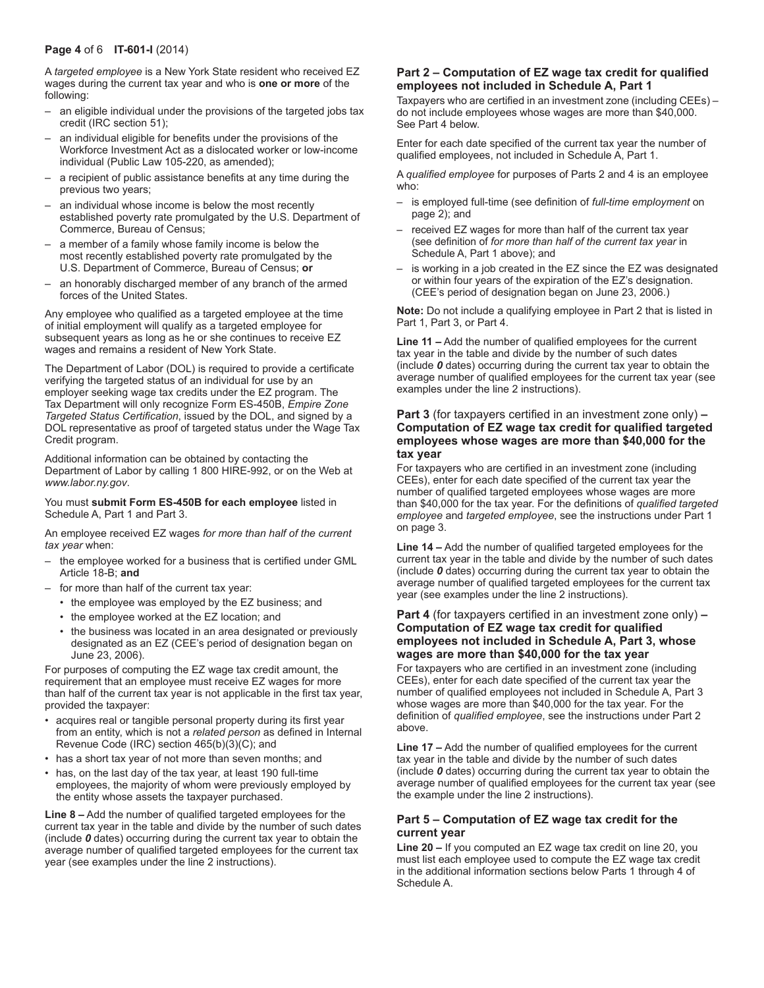#### **Page 4** of 6 **IT-601-I** (2014)

A *targeted employee* is a New York State resident who received EZ wages during the current tax year and who is **one or more** of the following:

- an eligible individual under the provisions of the targeted jobs tax credit (IRC section 51);
- an individual eligible for benefits under the provisions of the Workforce Investment Act as a dislocated worker or low-income individual (Public Law 105-220, as amended);
- a recipient of public assistance benefits at any time during the previous two years;
- an individual whose income is below the most recently established poverty rate promulgated by the U.S. Department of Commerce, Bureau of Census;
- a member of a family whose family income is below the most recently established poverty rate promulgated by the U.S. Department of Commerce, Bureau of Census; **or**
- an honorably discharged member of any branch of the armed forces of the United States.

Any employee who qualified as a targeted employee at the time of initial employment will qualify as a targeted employee for subsequent years as long as he or she continues to receive EZ wages and remains a resident of New York State.

The Department of Labor (DOL) is required to provide a certificate verifying the targeted status of an individual for use by an employer seeking wage tax credits under the EZ program. The Tax Department will only recognize Form ES-450B, *Empire Zone Targeted Status Certification*, issued by the DOL, and signed by a DOL representative as proof of targeted status under the Wage Tax Credit program.

Additional information can be obtained by contacting the Department of Labor by calling 1 800 HIRE-992, or on the Web at *www.labor.ny.gov*.

#### You must **submit Form ES-450B for each employee** listed in Schedule A, Part 1 and Part 3.

An employee received EZ wages *for more than half of the current tax year* when:

- the employee worked for a business that is certified under GML Article 18-B; **and**
- for more than half of the current tax year:
	- the employee was employed by the EZ business; and
	- the employee worked at the EZ location; and
	- the business was located in an area designated or previously designated as an EZ (CEE's period of designation began on June 23, 2006).

For purposes of computing the EZ wage tax credit amount, the requirement that an employee must receive EZ wages for more than half of the current tax year is not applicable in the first tax year, provided the taxpayer:

- acquires real or tangible personal property during its first year from an entity, which is not a *related person* as defined in Internal Revenue Code (IRC) section 465(b)(3)(C); and
- has a short tax year of not more than seven months; and
- has, on the last day of the tax year, at least 190 full-time employees, the majority of whom were previously employed by the entity whose assets the taxpayer purchased.

**Line 8 –** Add the number of qualified targeted employees for the current tax year in the table and divide by the number of such dates (include *0* dates) occurring during the current tax year to obtain the average number of qualified targeted employees for the current tax year (see examples under the line 2 instructions).

#### **Part 2 – Computation of EZ wage tax credit for qualified employees not included in Schedule A, Part 1**

Taxpayers who are certified in an investment zone (including CEEs) – do not include employees whose wages are more than \$40,000. See Part 4 below.

Enter for each date specified of the current tax year the number of qualified employees, not included in Schedule A, Part 1.

A *qualified employee* for purposes of Parts 2 and 4 is an employee who:

- is employed full-time (see definition of *full-time employment* on page 2); and
- received EZ wages for more than half of the current tax year (see definition of *for more than half of the current tax year* in Schedule A, Part 1 above); and
- is working in a job created in the EZ since the EZ was designated or within four years of the expiration of the EZ's designation. (CEE's period of designation began on June 23, 2006.)

**Note:** Do not include a qualifying employee in Part 2 that is listed in Part 1, Part 3, or Part 4.

**Line 11 –** Add the number of qualified employees for the current tax year in the table and divide by the number of such dates (include *0* dates) occurring during the current tax year to obtain the average number of qualified employees for the current tax year (see examples under the line 2 instructions).

#### **Part 3** (for taxpayers certified in an investment zone only) **– Computation of EZ wage tax credit for qualified targeted employees whose wages are more than \$40,000 for the tax year**

For taxpayers who are certified in an investment zone (including CEEs), enter for each date specified of the current tax year the number of qualified targeted employees whose wages are more than \$40,000 for the tax year. For the definitions of *qualified targeted employee* and *targeted employee*, see the instructions under Part 1 on page 3.

**Line 14 –** Add the number of qualified targeted employees for the current tax year in the table and divide by the number of such dates (include *0* dates) occurring during the current tax year to obtain the average number of qualified targeted employees for the current tax year (see examples under the line 2 instructions).

#### **Part 4** (for taxpayers certified in an investment zone only) **– Computation of EZ wage tax credit for qualified employees not included in Schedule A, Part 3, whose wages are more than \$40,000 for the tax year**

For taxpayers who are certified in an investment zone (including CEEs), enter for each date specified of the current tax year the number of qualified employees not included in Schedule A, Part 3 whose wages are more than \$40,000 for the tax year. For the definition of *qualified employee*, see the instructions under Part 2 above.

**Line 17 –** Add the number of qualified employees for the current tax year in the table and divide by the number of such dates (include *0* dates) occurring during the current tax year to obtain the average number of qualified employees for the current tax year (see the example under the line 2 instructions).

## **Part 5 – Computation of EZ wage tax credit for the current year**

**Line 20 –** If you computed an EZ wage tax credit on line 20, you must list each employee used to compute the EZ wage tax credit in the additional information sections below Parts 1 through 4 of Schedule A.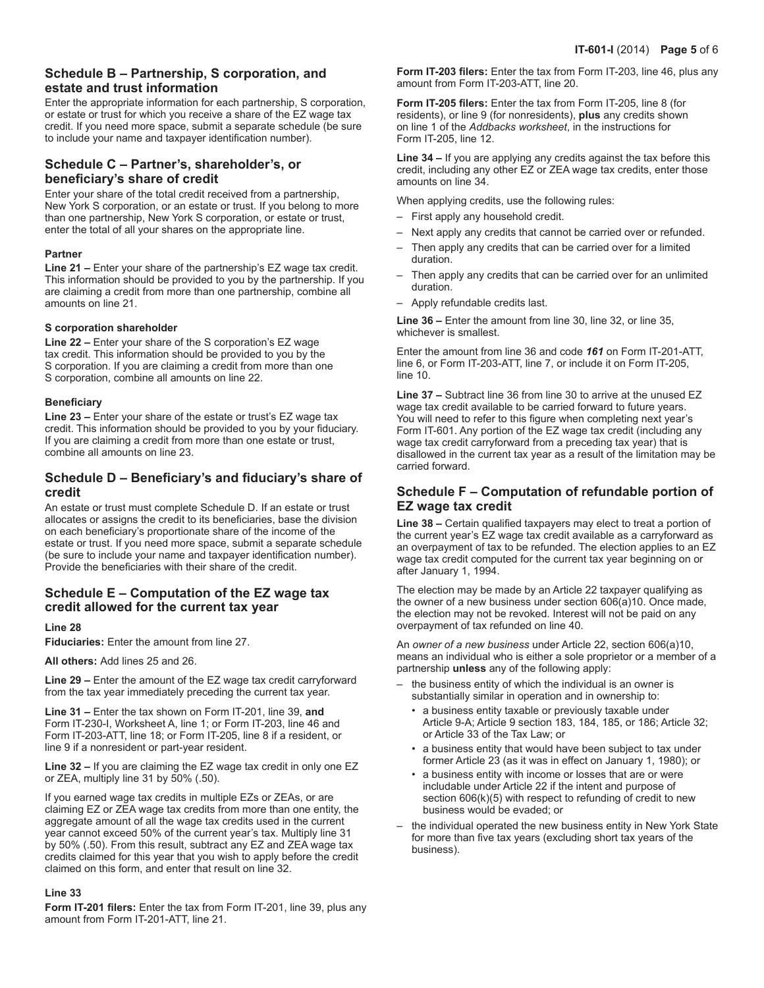# **Schedule B – Partnership, S corporation, and estate and trust information**

Enter the appropriate information for each partnership, S corporation, or estate or trust for which you receive a share of the EZ wage tax credit. If you need more space, submit a separate schedule (be sure to include your name and taxpayer identification number).

## **Schedule C – Partner's, shareholder's, or beneficiary's share of credit**

Enter your share of the total credit received from a partnership, New York S corporation, or an estate or trust. If you belong to more than one partnership, New York S corporation, or estate or trust, enter the total of all your shares on the appropriate line.

## **Partner**

**Line 21 –** Enter your share of the partnership's EZ wage tax credit. This information should be provided to you by the partnership. If you are claiming a credit from more than one partnership, combine all amounts on line 21.

## **S corporation shareholder**

**Line 22 –** Enter your share of the S corporation's EZ wage tax credit. This information should be provided to you by the S corporation. If you are claiming a credit from more than one S corporation, combine all amounts on line 22.

#### **Beneficiary**

**Line 23 –** Enter your share of the estate or trust's EZ wage tax credit. This information should be provided to you by your fiduciary. If you are claiming a credit from more than one estate or trust, combine all amounts on line 23.

## **Schedule D – Beneficiary's and fiduciary's share of credit**

An estate or trust must complete Schedule D. If an estate or trust allocates or assigns the credit to its beneficiaries, base the division on each beneficiary's proportionate share of the income of the estate or trust. If you need more space, submit a separate schedule (be sure to include your name and taxpayer identification number). Provide the beneficiaries with their share of the credit.

## **Schedule E – Computation of the EZ wage tax credit allowed for the current tax year**

## **Line 28**

**Fiduciaries:** Enter the amount from line 27.

**All others:** Add lines 25 and 26.

**Line 29 –** Enter the amount of the EZ wage tax credit carryforward from the tax year immediately preceding the current tax year.

**Line 31 –** Enter the tax shown on Form IT-201, line 39, **and** Form IT‑230‑I, Worksheet A, line 1; or Form IT-203, line 46 and Form IT‑203-ATT, line 18; or Form IT-205, line 8 if a resident, or line 9 if a nonresident or part-year resident.

**Line 32 –** If you are claiming the EZ wage tax credit in only one EZ or ZEA, multiply line 31 by 50% (.50).

If you earned wage tax credits in multiple EZs or ZEAs, or are claiming EZ or ZEA wage tax credits from more than one entity, the aggregate amount of all the wage tax credits used in the current year cannot exceed 50% of the current year's tax. Multiply line 31 by 50% (.50). From this result, subtract any EZ and ZEA wage tax credits claimed for this year that you wish to apply before the credit claimed on this form, and enter that result on line 32.

#### **Line 33**

**Form IT-201 filers:** Enter the tax from Form IT-201, line 39, plus any amount from Form IT-201-ATT, line 21.

**Form IT-203 filers:** Enter the tax from Form IT-203, line 46, plus any amount from Form IT-203-ATT, line 20.

**Form IT-205 filers:** Enter the tax from Form IT-205, line 8 (for residents), or line 9 (for nonresidents), **plus** any credits shown on line 1 of the *Addbacks worksheet*, in the instructions for Form IT-205, line 12.

**Line 34 –** If you are applying any credits against the tax before this credit, including any other EZ or ZEA wage tax credits, enter those amounts on line 34.

When applying credits, use the following rules:

- First apply any household credit.
- Next apply any credits that cannot be carried over or refunded.
- Then apply any credits that can be carried over for a limited duration.
- Then apply any credits that can be carried over for an unlimited duration.
- Apply refundable credits last.

**Line 36 –** Enter the amount from line 30, line 32, or line 35, whichever is smallest.

Enter the amount from line 36 and code *161* on Form IT-201-ATT, line 6, or Form IT-203-ATT, line 7, or include it on Form IT-205, line 10.

**Line 37 –** Subtract line 36 from line 30 to arrive at the unused EZ wage tax credit available to be carried forward to future years. You will need to refer to this figure when completing next year's Form IT‑601. Any portion of the EZ wage tax credit (including any wage tax credit carryforward from a preceding tax year) that is disallowed in the current tax year as a result of the limitation may be carried forward.

## **Schedule F – Computation of refundable portion of EZ wage tax credit**

**Line 38 –** Certain qualified taxpayers may elect to treat a portion of the current year's EZ wage tax credit available as a carryforward as an overpayment of tax to be refunded. The election applies to an EZ wage tax credit computed for the current tax year beginning on or after January 1, 1994.

The election may be made by an Article 22 taxpayer qualifying as the owner of a new business under section 606(a)10. Once made, the election may not be revoked. Interest will not be paid on any overpayment of tax refunded on line 40.

An *owner of a new business* under Article 22, section 606(a)10, means an individual who is either a sole proprietor or a member of a partnership **unless** any of the following apply:

- the business entity of which the individual is an owner is substantially similar in operation and in ownership to:
	- a business entity taxable or previously taxable under Article 9‑A; Article 9 section 183, 184, 185, or 186; Article 32; or Article 33 of the Tax Law; or
	- a business entity that would have been subject to tax under former Article 23 (as it was in effect on January 1, 1980); or
	- a business entity with income or losses that are or were includable under Article 22 if the intent and purpose of section 606(k)(5) with respect to refunding of credit to new business would be evaded; or
- the individual operated the new business entity in New York State for more than five tax years (excluding short tax years of the business).